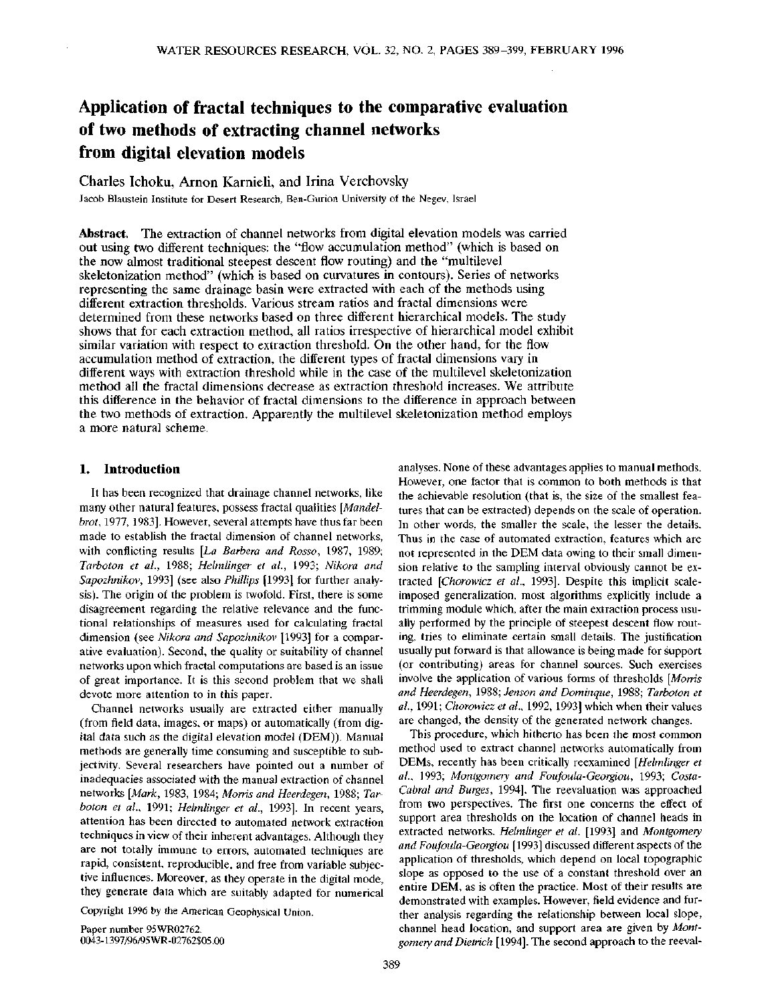# **Application of fractal techniques to the comparative evaluation of two methods of extracting channel networks from digital elevation models**

Charles Ichoku, Arnon Karnieli, and Irina Verchovsky Jacob Blaustein Institute for Desert Research, Ben-Gurion University of the Negev, Israel

**Abstract.** The extraction of channel networks from digital elevation models was carried out using two different techniques: the "flow accumulation method" (which is based on the now almost traditional steepest descent flow routing) and the "multilevel skeletonization method" (which is based on curvatures in contours). Series of networks representing the same drainage basin were extracted with each of the methods using different extraction thresholds. Various stream ratios and fractal dimensions were determined from these networks based on three different hierarchical models. The study shows that for each extraction method, all ratios irrespective of hierarchical model exhibit similar variation with respect to extraction threshold. On the other hand, for the flow accumulation method of extraction, the different types of fractal dimensions vary in different ways with extraction threshold while in the case of the multilevel skeletonization method all the fractal dimensions decrease as extraction threshold increases. We attribute this difference in the behavior of fractal dimensions to the difference in approach between the two methods of extraction. Apparently the multilevel skeletonization method employs a more natural scheme.

## **1. Introduction**

It has been recognized that drainage channel networks, like many other natural features, possess fractal qualities *[Mandelbrot*, 1977, 1983]. However, several attempts have thus far been made to establish the fractal dimension of channel networks, with conflicting results *[La Barbera and Rosso,* 1987, 1989; *Tarboton et al.,* 1988; *Helmlinger et al.,* 1993; *Nikora and Sapozhnikov,* 1993] (see also *Phillips* [1993] for further analysis). The origin of the problem is twofold. First, there is some disagreement regarding the relative relevance and the functional relationships of measures used for calculating fractal dimension (see *Nikora and Sapozhnikov* [1993] for a comparative evaluation). Second, the quality or suitability of channel networks upon which fractal computations are based is an issue of great importance. It is this second problem that we shall devote more attention to in this paper.

Channel networks usually are extracted either manually (from field data, images, or maps) or automatically (from digital data such as the digital elevation model (DEM)). Manual methods are generally time consuming and susceptible to subjectivity. Several researchers have pointed out a number of inadequacies associated with the manual extraction of channel networks *[Mark,* 1983, 1984; *Morris and Heerdegen,* 1988; *Tarboton et al.,* 1991; *Helmlinger et al.,* 1993]. In recent years, attention has been directed to automated network extraction techniques in view of their inherent advantages. Although they are not totally immune to errors, automated techniques are rapid, consistent, reproducible, and free from variable subjective influences. Moreover, as they operate in the digital mode, they generate data which are suitably adapted for numerical

Copyright 1996 by the American Geophysical Union.

Paper number 95WR02762. 0043-1397/96/95WR-02762\$05.00

analyses. None of these advantages applies to manual methods. However, one factor that is common to both methods is that the achievable resolution (that is, the size of the smallest features that can be extracted) depends on the scale of operation. In other words, the smaller the scale, the lesser the details. Thus in the case of automated extraction, features which are not represented in the DEM data owing to their small dimension relative to the sampling interval obviously cannot be extracted *[Chorowicz et al.,* 1993]. Despite this implicit scaleimposed generalization, most algorithms explicitly include a trimming module which, after the main extraction process usually performed by the principle of steepest descent flow routing, tries to eliminate certain small details. The justification usually put forward is that allowance is being made for support (or contributing) areas for channel sources. Such exercises involve the application of various forms of thresholds *[Morris and Heerdegen,* 1988; *Jenson and Dominque,* 1988; *Tarboton et al.,* 1991; *Chorowicz et al.,* 1992, 1993] which when their values are changed, the density of the generated network changes.

This procedure, which hitherto has been the most common method used to extract channel networks automatically from DEMs, recently has been critically reexamined *[Helmlinger et al.,* 1993; *Montgomery and Foufoula-Georgiou,* 1993; *Costa-Cabral and Surges,* 1994]. The reevaluation was approached from two perspectives. The first one concerns the effect of support area thresholds on the location of channel heads in extracted networks. *Helmlinger et al.* [1993] and *Montgomery and Foufoula-Georgiou* [1993] discussed different aspects of the application of thresholds, which depend on local topographic slope as opposed to the use of a constant threshold over an entire DEM, as is often the practice. Most of their results are demonstrated with examples. However, field evidence and further analysis regarding the relationship between local slope, channel head location, and support area are given by *Montgomery andDietrich* [1994]. The second approach to the reeval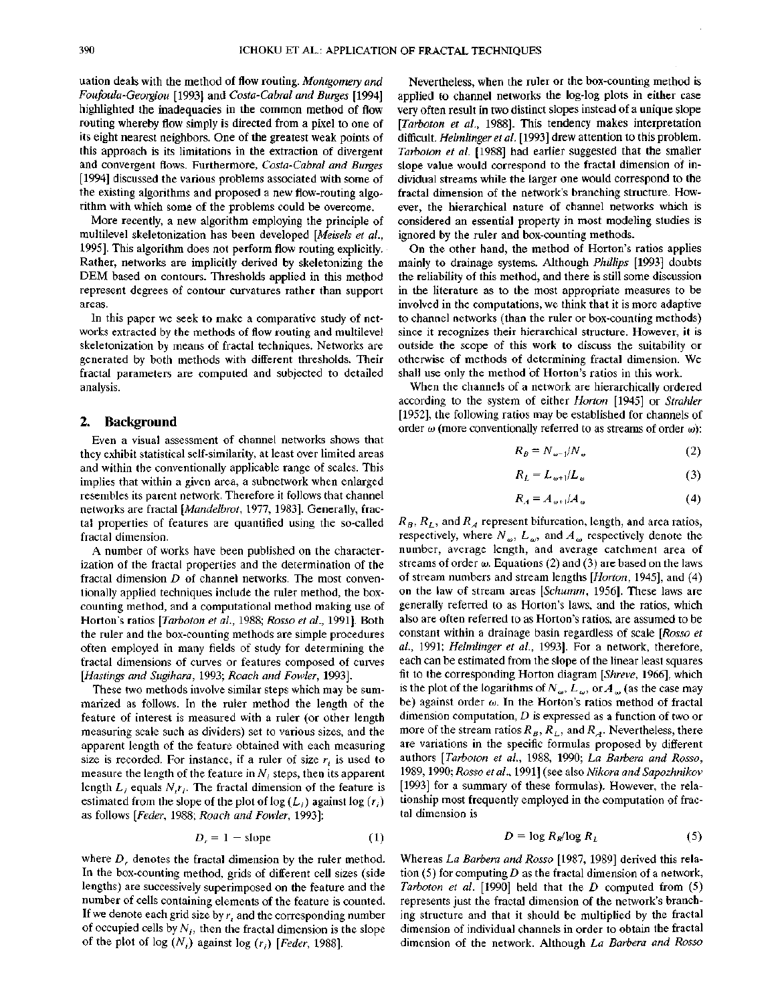uation deals with the method of flow routing. *Montgomery and Foufoula-Georgiou* [1993] and *Costa-Cabral and Burges* [1994] highlighted the inadequacies in the common method of flow routing whereby flow simply is directed from a pixel to one of its eight nearest neighbors. One of the greatest weak points of this approach is its limitations in the extraction of divergent and convergent flows. Furthermore, *Costa-Cabral and Burges* [1994] discussed the various problems associated with some of the existing algorithms and proposed a new flow-routing algorithm with which some of the problems could be overcome.

More recently, a new algorithm employing the principle of multilevel skeletonization has been developed *[Meisels et al.,* 1995]. This algorithm does not perform flow routing explicitly. Rather, networks are implicitly derived by skeletonizing the DEM based on contours. Thresholds applied in this method represent degrees of contour curvatures rather than support areas.

In this paper we seek to make a comparative study of networks extracted by the methods of flow routing and multilevel skeletonization by means of fractal techniques. Networks are generated by both methods with different thresholds. Their fractal parameters are computed and subjected to detailed analysis.

## **2. Background**

Even a visual assessment of channel networks shows that they exhibit statistical self-similarity, at least over limited areas and within the conventionally applicable range of scales. This implies that within a given area, a subnetwork when enlarged resembles its parent network. Therefore it follows that channel networks are fractal *[Mandelbrot,* 1977, 1983]. Generally, fractal properties of features are quantified using the so-called fractal dimension.

A number of works have been published on the characterization of the fractal properties and the determination of the fractal dimension *D* of channel networks. The most conventionally applied techniques include the ruler method, the boxcounting method, and a computational method making use of Horton's ratios *[Tarboton et al.,* 1988; *Rosso et at.,* 1991]. Both the ruler and the box-counting methods are simple procedures often employed in many fields of study for determining the fractal dimensions of curves or features composed of curves *[Hastings and Sugihara,* 1993; *Roach and Fowler,* 1993].

These two methods involve similar steps which may be summarized as follows. In the ruler method the length of the feature of interest is measured with a ruler (or other length measuring scale such as dividers) set to various sizes, and the apparent length of the feature obtained with each measuring size is recorded. For instance, if a ruler of size  $r_i$  is used to measure the length of the feature in  $N_i$  steps, then its apparent length  $L_i$ , equals  $N_i r_i$ . The fractal dimension of the feature is estimated from the slope of the plot of  $log(L_i)$  against  $log(r_i)$ as follows *[Feder,* 1988; *Roach and Fowler,* 1993]:

$$
D_r = 1 - \text{slope} \tag{1}
$$

where  $D<sub>r</sub>$  denotes the fractal dimension by the ruler method. In the box-counting method, grids of different cell sizes (side lengths) are successively superimposed on the feature and the number of cells containing elements of the feature is counted. If we denote each grid size by  $r<sub>i</sub>$  and the corresponding number of occupied cells by  $N_f$ , then the fractal dimension is the slope of the plot of log  $(N_i)$  against log  $(r_i)$  [Feder, 1988].

Nevertheless, when the ruler or the box-counting method is applied to channel networks the log-log plots in either case very often result in two distinct slopes instead of a unique slope *[Tarboton et al.,* 1988]. This tendency makes interpretation difficult. *Helmlinger et al.* [1993] drew attention to this problem. *Tarboton et al.* [1988] had earlier suggested that the smaller slope value would correspond to the fractal dimension of individual streams while the larger one would correspond to the fractal dimension of the network's branching structure. However, the hierarchical nature of channel networks which is considered an essential property in most modeling studies is ignored by the ruler and box-counting methods.

On the other hand, the method of Horton's ratios applies mainly to drainage systems. Although *Phillips* [1993] doubts the reliability of this method, and there is still some discussion in the literature as to the most appropriate measures to be involved in the computations, we think that it is more adaptive to channel networks (than the ruler or box-counting methods) since it recognizes their hierarchical structure. However, it is outside the scope of this work to discuss the suitability or otherwise of methods of determining fractal dimension. We shall use only the method of Horton's ratios in this work.

When the channels of a network are hierarchically ordered according to the system of either *Horton* [1945] or *Strahler* [1952], the following ratios may be established for channels of order  $\omega$  (more conventionally referred to as streams of order  $\omega$ ):

$$
R_B = N_{\omega - 1} / N_{\omega} \tag{2}
$$

$$
R_L = L_{\omega+1}/L_{\omega} \tag{3}
$$

$$
R_A = A_{\omega+1}/A_{\omega} \tag{4}
$$

 $R_B$ ,  $R_L$ , and  $R_A$  represent bifurcation, length, and area ratios, respectively, where  $N_{\omega}$ ,  $L_{\omega}$ , and  $A_{\omega}$  respectively denote the number, average length, and average catchment area of streams of order  $\omega$ . Equations (2) and (3) are based on the laws of stream numbers and stream lengths *[Horton,* 1945], and (4) on the law of stream areas *[Schumm,* 1956]. These laws are generally referred to as Horton's laws, and the ratios, which also are often referred to as Horton's ratios, are assumed to be constant within a drainage basin regardless of scale *[Rosso et al.,* 1991; *Helmlinger et al.,* 1993]. For a network, therefore, each can be estimated from the slope of the linear least squares fit to the corresponding Horton diagram *[Shreve,* 1966], which is the plot of the logarithms of  $N_{\omega}$ ,  $L_{\omega}$ , or  $A_{\omega}$  (as the case may be) against order  $\omega$ . In the Horton's ratios method of fractal dimension computation, *D* is expressed as a function of two or more of the stream ratios  $R_B$ ,  $R_L$ , and  $R_A$ . Nevertheless, there are variations in the specific formulas proposed by different authors *[Tarboton et al.,* 1988, 1990; *La Barbera and Rosso,* 1989,1990; *Rosso et al.,* 1991] (see also *Nikora and Sapozhnikov* [1993] for a summary of these formulas). However, the relationship most frequently employed in the computation of fractal dimension is

$$
D = \log R_B / \log R_L \tag{5}
$$

Whereas *La Barbera and Rosso* [1987, 1989] derived this relation (5) for computing *D* as the fractal dimension of a network, *Tarboton et al.* [1990] held that the *D* computed from (5) represents just the fractal dimension of the network's branching structure and that it should be multiplied by the fractal dimension of individual channels in order to obtain the fractal dimension of the network. Although *La Barbera and Rosso*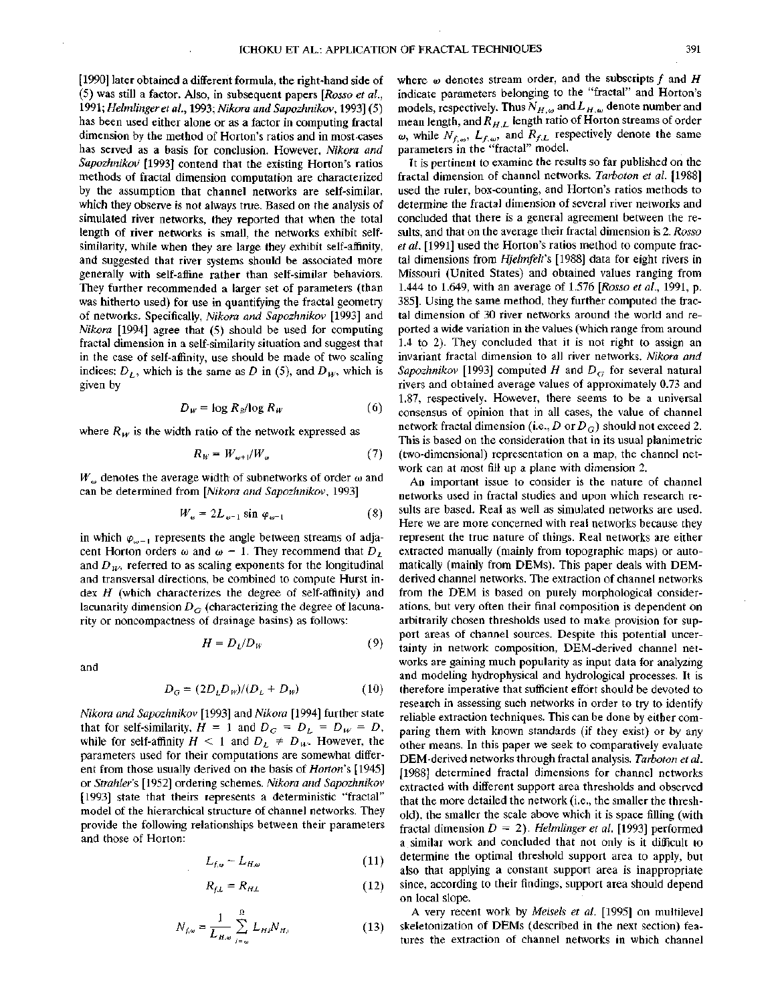[1990] later obtained a different formula, the right-hand side of (5) was still a factor. Also, in subsequent papers *[Rosso et al.,* 1991; *Helmlinger et al.,* 1993; *Nikora and Sapozhnikov,* 1993] (5) has been used either alone or as a factor in computing fractal dimension by the method of Horton's ratios and in most-cases has served as a basis for conclusion. However, *Nikora and Sapozhnikov* [1993] contend that the existing Horton's ratios methods of fractal dimension computation are characterized by the assumption that channel networks are self-similar, which they observe is not always true. Based on the analysis of simulated river networks, they reported that when the total length of river networks is small, the networks exhibit selfsimilarity, while when they are large they exhibit self-affinity, and suggested that river systems should be associated more generally with self-affine rather than self-similar behaviors. They further recommended a larger set of parameters (than was hitherto used) for use in quantifying the fractal geometry of networks. Specifically, *Nikora and Sapozhnikov* [1993] and *Nikora* [1994] agree that (5) should be used for computing fractal dimension in a self-similarity situation and suggest that in the case of self-affinity, use should be made of two scaling indices:  $D_L$ , which is the same as D in (5), and  $D_W$ , which is given by

$$
D_w = \log R_B / \log R_w \tag{6}
$$

where  $R_W$  is the width ratio of the network expressed as

$$
R_W = W_{\omega+1}/W_{\omega} \tag{7}
$$

 $W_{\omega}$  denotes the average width of subnetworks of order  $\omega$  and can be determined from *[Nikora and Sapozhnikov,* 1993]

$$
W_w = 2L_{w-1} \sin \varphi_{w-1} \tag{8}
$$

in which  $\varphi_{\omega-1}$  represents the angle between streams of adjacent Horton orders  $\omega$  and  $\omega - 1$ . They recommend that  $D_L$ and  $D<sub>w</sub>$ , referred to as scaling exponents for the longitudinal and transversal directions, be combined to compute Hurst index *H* (which characterizes the degree of self-affinity) and lacunarity dimension  $D_G$  (characterizing the degree of lacunarity or noncompactness of drainage basins) as follows:

$$
H = D_L/D_W \tag{9}
$$

and

$$
D_G = (2D_L D_W)/(D_L + D_W) \tag{10}
$$

*Nikora and Sapozhnikov* [1993] *and Nikora* [1994] further state that for self-similarity,  $H = 1$  and  $D_G = D_L = D_W = D$ , while for self-affinity  $H < 1$  and  $D_L \neq D_W$ . However, the parameters used for their computations are somewhat different from those usually derived on the basis of *Horton's* [1945] or *Strahler's* [1952] ordering schemes. *Nikora and Sapozhnikov* [1993] state that theirs represents a deterministic "fractal" model of the hierarchical structure of channel networks. They provide the following relationships between their parameters and those of Horton:

$$
L_{f,\omega} \sim L_{H,\omega} \tag{11}
$$

$$
R_{f,L} = R_{H,L} \tag{12}
$$

$$
N_{f,\omega} = \frac{1}{L_{H,\omega}} \sum_{j=\omega}^{\Omega} L_{H,j} N_{H,j}
$$
 (13)

where  $\omega$  denotes stream order, and the subscripts  $f$  and  $H$ indicate parameters belonging to the "fractal" and Horton's models, respectively. Thus  $N_{H,\omega}$  and  $L_{H,\omega}$  denote number and mean length, and  $R_{H,L}$  length ratio of Horton streams of order  $\omega$ , while  $N_{f,\omega}$ ,  $L_{f,\omega}$ , and  $R_{f,L}$  respectively denote the same parameters in the "fractal" model.

It is pertinent to examine the results so far published on the fractal dimension of channel networks. *Tarboton et al.* [1988] used the ruler, box-counting, and Horton's ratios methods to determine the fractal dimension of several river networks and concluded that there is a general agreement between the results, and that on the average their fractal dimension is 2. *Rosso et al.* [1991] used the Horton's ratios method to compute fractal dimensions from *Hjelmfelt's* [1988] data for eight rivers in Missouri (United States) and obtained values ranging from 1.444 to 1.649, with an average of 1.576 *[Rosso et al.,* 1991, p. 385]. Using the same method, they further computed the fractal dimension of 30 river networks around the world and reported a wide variation in the values (which range from around 1.4 to 2). They concluded that it is not right to assign an invariant fractal dimension to all river networks. *Nikora and Sapozhnikov* [1993] computed *H* and *DG* for several natural rivers and obtained average values of approximately 0.73 and 1.87, respectively. However, there seems to be a universal consensus of opinion that in all cases, the value of channel network fractal dimension (i.e., D or  $D_G$ ) should not exceed 2. This is based on the consideration that in its usual planimetric (two-dimensional) representation on a map, the channel network can at most fill up a plane with dimension 2.

An important issue to consider is the nature of channel networks used in fractal studies and upon which research results are based. Real as well as simulated networks are used. Here we are more concerned with real networks because they represent the true nature of things. Real networks are either extracted manually (mainly from topographic maps) or automatically (mainly from OEMs). This paper deals with DEMderived channel networks. The extraction of channel networks from the DEM is based on purely morphological considerations, but very often their final composition is dependent on arbitrarily chosen thresholds used to make provision for support areas of channel sources. Despite this potential uncertainty in network composition, DEM-derived channel networks are gaining much popularity as input data for analyzing and modeling hydrophysical and hydrological processes. It is therefore imperative that sufficient effort should be devoted to research in assessing such networks in order to try to identify reliable extraction techniques. This can be done by either comparing them with known standards (if they exist) or by any other means. In this paper we seek to comparatively evaluate DEM-derived networks through fractal analysis. *Tarboton et al.* [1988] determined fractal dimensions for channel networks extracted with different support area thresholds and observed that the more detailed the network (i.e., the smaller the threshold), the smaller the scale above which it is space filling (with fractal dimension  $D = 2$ ). *Helmlinger et al.* [1993] performed a similar work and concluded that not only is it difficult to determine the optimal threshold support area to apply, but also that applying a constant support area is inappropriate since, according to their findings, support area should depend on local slope.

A very recent work by *Meisels et al.* [1995] on multilevel skeletonization of DEMs (described in the next section) features the extraction of channel networks in which channel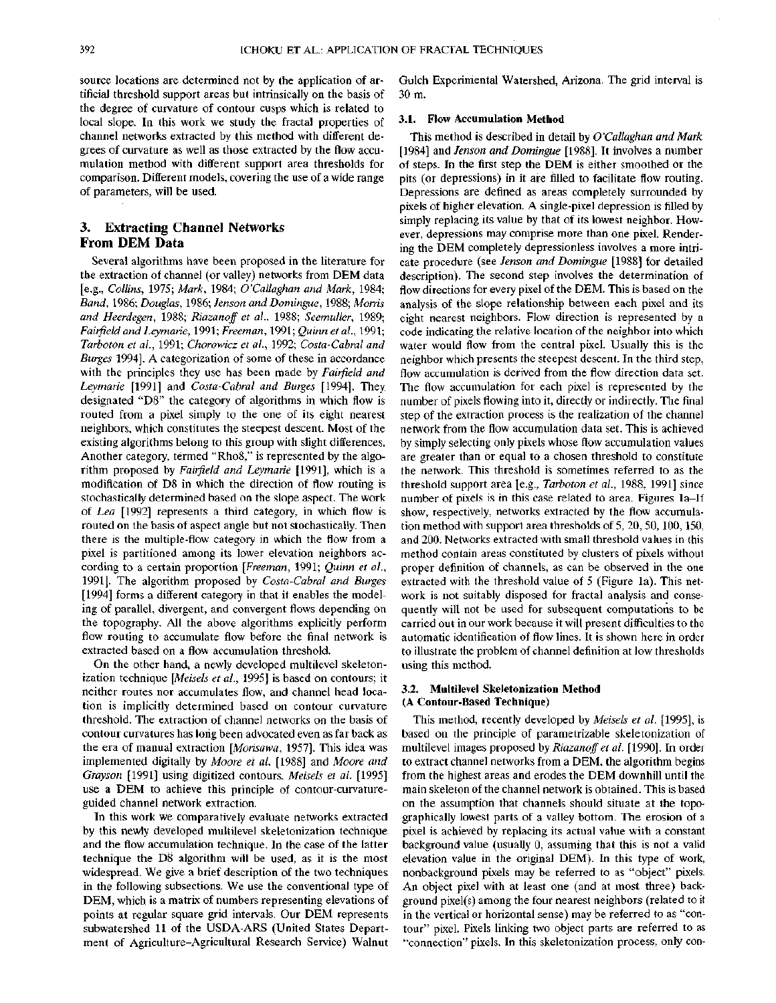source locations are determined not by the application of artificial threshold support areas but intrinsically on the basis of the degree of curvature of contour cusps which is related to local slope. In this work we study the fractal properties of channel networks extracted by this method with different degrees of curvature as well as those extracted by the flow accumulation method with different support area thresholds for comparison. Different models, covering the use of a wide range of parameters, will be used.

# **3. Extracting Channel Networks From DEM Data**

Several algorithms have been proposed in the literature for the extraction of channel (or valley) networks from DEM data [e.g., *Collins,* 1975; *Mark,* 1984; *O'Callaghan and Mark,* 1984; *Band,* 1986; *Douglas,* 1986; *Jenson and Domingue,* 1988; *Morris and Heerdegen,* 1988; *Riazanoff et al.,* 1988; *Seemuller,* 1989; *Fairfield and Leymarie,* 1991; *Freeman,* 1991; *Quinn et al.,* 1991; *Tarboton et al.,* 1991; *Chorowicz et al.,* 1992; *Costa-Cabral and Surges* 1994]. A categorization of some of these in accordance with the principles they use has been made by *Fairfield and Leymarie* [1991] and *Costa-Cabral and Barges* [1994]. They designated "D8" the category of algorithms in which flow is routed from a pixel simply to the one of its eight nearest neighbors, which constitutes the steepest descent. Most of the existing algorithms belong to this group with slight differences. Another category, termed "Rho8," is represented by the algorithm proposed by *Fairfield and Leymarie* [1991], which is a modification of D8 in which the direction of flow routing is stochastically determined based on the slope aspect. The work of *Lea* [1992] represents a third category, in which flow is routed on the basis of aspect angle but not stochastically. Then there is the multiple-flow category in which the flow from a pixel is partitioned among its lower elevation neighbors according to a certain proportion *[Freeman,* 1991; *Quinn et al.,* 1991], The algorithm proposed by *Costa-Cabral and Surges* [1994] forms a different category in that it enables the modeling of parallel, divergent, and convergent flows depending on the topography. All the above algorithms explicitly perform flow routing to accumulate flow before the final network is extracted based on a flow accumulation threshold.

On the other hand, a newly developed multilevel skeletonization technique *[Meisels et al.,* 1995] is based on contours; it neither routes nor accumulates flow, and channel head location is implicitly determined based on contour curvature threshold. The extraction of channel networks on the basis of contour curvatures has long been advocated even as far back as the era of manual extraction *[Morisawa,* 1957]. This idea was implemented digitally by *Moore et al.* [1988] and *Moore and Gray son* [1991] using digitized contours. *Meisels et al.* [1995] use a DEM to achieve this principle of contour-curvatureguided channel network extraction.

In this work we comparatively evaluate networks extracted by this newly developed multilevel skeletonization technique and the flow accumulation technique. In the case of the latter technique the D8 algorithm will be used, as it is the most widespread. We give a brief description of the two techniques in the following subsections. We use the conventional type of DEM, which is a matrix of numbers representing elevations of points at regular square grid intervals. Our DEM represents subwatershed 11 of the USDA-ARS (United States Department of Agriculture-Agricultural Research Service) Walnut Gulch Experimental Watershed, Arizona. The grid interval is 30m.

## **3.1. Flow Accumulation Method**

This method is described in detail by *O'Callaghan and Mark* [1984] and *Jenson and Domingue* [1988]. It involves a number of steps. In the first step the DEM is either smoothed or the pits (or depressions) in it are filled to facilitate flow routing. Depressions are defined as areas completely surrounded by pixels of higher elevation. A single-pixel depression is filled by simply replacing its value by that of its lowest neighbor. However, depressions may comprise more than one pixel. Rendering the DEM completely depressionless involves a more intricate procedure (see *Jenson and Domingue* [1988] for detailed description). The second step involves the determination of flow directions for every pixel of the DEM. This is based on the analysis of the slope relationship between each pixel and its eight nearest neighbors. Flow direction is represented by a code indicating the relative location of the neighbor into which water would flow from the central pixel. Usually this is the neighbor which presents the steepest descent. In the third step, flow accumulation is derived from the flow direction data set. The flow accumulation for each pixel is represented by the number of pixels flowing into it, directly or indirectly. The final step of the extraction process is the realization of the channel network from the flow accumulation data set. This is achieved by simply selecting only pixels whose flow accumulation values are greater than or equal to a chosen threshold to constitute the network. This threshold is sometimes referred to as the threshold support area [e.g., *Tarboton et al.,* 1988, 1991] since number of pixels is in this case related to area. Figures la-lf show, respectively, networks extracted by the flow accumulation method with support area thresholds of 5, 20, 50,100,150, and 200. Networks extracted with small threshold values in this method contain areas constituted by clusters of pixels without proper definition of channels, as can be observed in the one extracted with the threshold value of 5 (Figure la). This network is not suitably disposed for fractal analysis and consequently will not be used for subsequent computations to be carried out in our work because it will present difficulties to the automatic identification of flow lines. It is shown here in order to illustrate the problem of channel definition at low thresholds using this method.

#### 3.2. **Multilevel Skeletonization Method (A Contour-Based Technique)**

This method, recently developed by *Meisels et al.* [1995], is based on the principle of parametrizable skeletonization of multilevel images proposed *by Riazanoff et al.* [1990]. In order to extract channel networks from a DEM, the algorithm begins from the highest areas and erodes the DEM downhill until the main skeleton of the channel network is obtained. This is based on the assumption that channels should situate at the topographically lowest parts of a valley bottom. The erosion of a pixel is achieved by replacing its actual value with a constant background value (usually 0, assuming that this is not a valid elevation value in the original DEM). In this type of work, nonbackground pixels may be referred to as "object" pixels. An object pixel with at least one (and at most three) background pixel(s) among the four nearest neighbors (related to it in the vertical or horizontal sense) may be referred to as "contour" pixel. Pixels linking two object parts are referred to as "connection" pixels. In this skeletonization process, only con-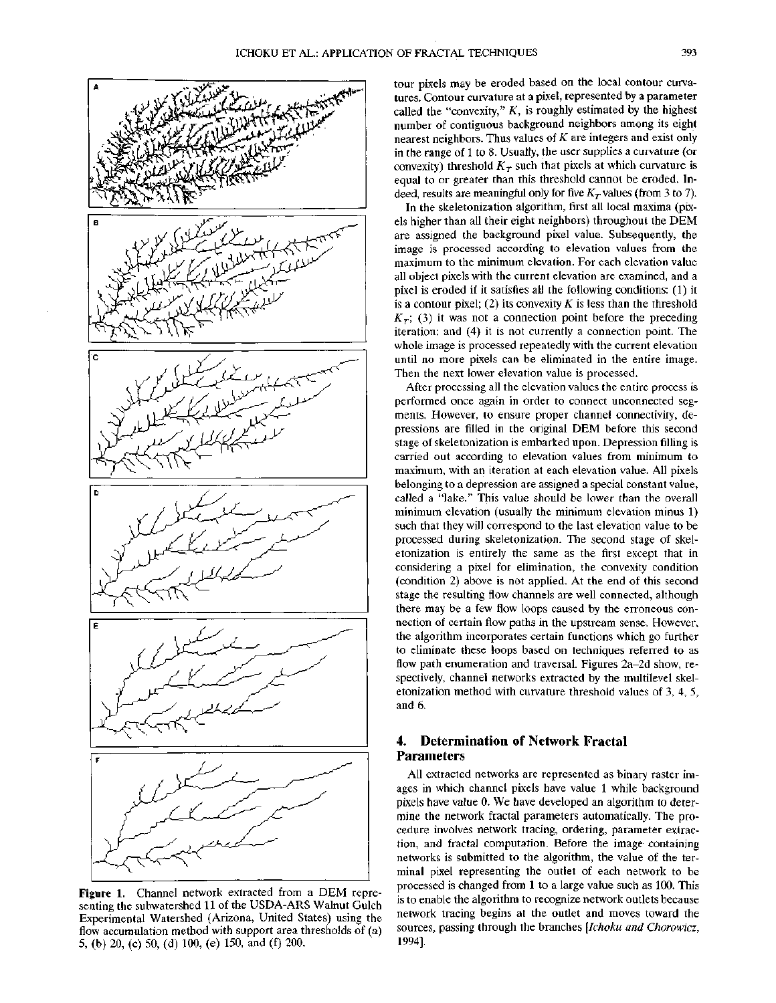

**Figure 1.** Channel network extracted from a DEM representing the subwatershed 11 of the USDA-ARS Walnut Gulch Experimental Watershed (Arizona, United States) using the flow accumulation method with support area thresholds of (a) 5, (b) 20, (c) 50, (d) 100, (e) 150, and (f) 200.

tour pixels may be eroded based on the local contour curvatures. Contour curvature at a pixel, represented by a parameter called the "convexity,"  $K$ , is roughly estimated by the highest number of contiguous background neighbors among its eight nearest neighbors. Thus values of *K* are integers and exist only in the range of 1 to 8. Usually, the user supplies a curvature (or convexity) threshold  $K_T$  such that pixels at which curvature is equal to or greater than this threshold cannot be eroded. Indeed, results are meaningful only for five  $K<sub>\tau</sub>$  values (from 3 to 7).

In the skeletonization algorithm, first all local maxima (pixels higher than all their eight neighbors) throughout the DEM are assigned the background pixel value. Subsequently, the image is processed according to elevation values from the maximum to the minimum elevation. For each elevation value all object pixels with the current elevation are examined, and a pixel is eroded if it satisfies all the following conditions: (1) it is a contour pixel; (2) its convexity  $K$  is less than the threshold  $K_T$ ; (3) it was not a connection point before the preceding iteration; and (4) it is not currently a connection point. The whole image is processed repeatedly with the current elevation until no more pixels can be eliminated in the entire image. Then the next lower elevation value is processed.

After processing all the elevation values the entire process is performed once again in order to connect unconnected segments. However, to ensure proper channel connectivity, depressions are filled in the original DEM before this second stage of skeletonization is embarked upon. Depression filling is carried out according to elevation values from minimum to maximum, with an iteration at each elevation value. All pixels belonging to a depression are assigned a special constant value, called a "lake." This value should be lower than the overall minimum elevation (usually the minimum elevation minus 1) such that they will correspond to the last elevation value to be processed during skeletonization. The second stage of skeletonization is entirely the same as the first except that in considering a pixel for elimination, the convexity condition (condition 2) above is not applied. At the end of this second stage the resulting flow channels are well connected, although there may be a few flow loops caused by the erroneous connection of certain flow paths in the upstream sense. However, the algorithm incorporates certain functions which go further to eliminate these loops based on techniques referred to as flow path enumeration and traversal. Figures 2a-2d show, respectively, channel networks extracted by the multilevel skeletonization method with curvature threshold values of 3, 4, 5, and 6.

# **4. Determination of Network Fractal Parameters**

All extracted networks are represented as binary raster images in which channel pixels have value 1 while background pixels have value 0. We have developed an algorithm to determine the network fractal parameters automatically. The procedure involves network tracing, ordering, parameter extraction, and fractal computation. Before the image containing networks is submitted to the algorithm, the value of the terminal pixel representing the outlet of each network to be processed is changed from 1 to a large value such as 100. This is to enable the algorithm to recognize network outlets because network tracing begins at the outlet and moves toward the sources, passing through the branches *[Ichoku and Chorowicz,* 1994].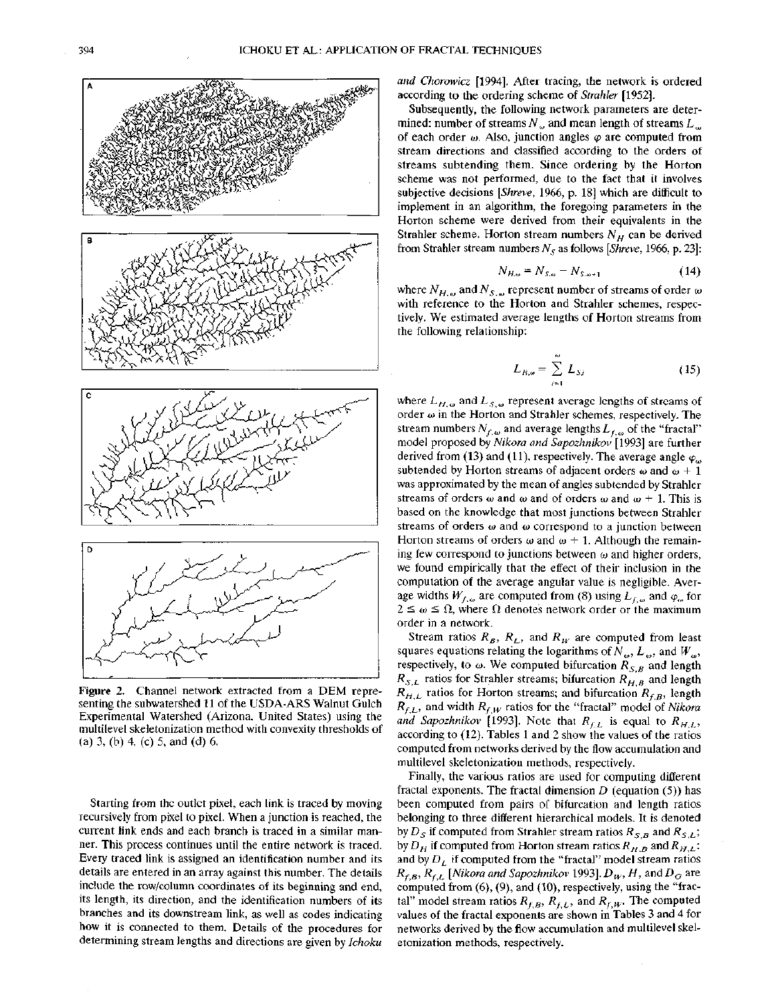

**Figure** 2. Channel network extracted from a DEM representing the subwatershed 11 of the USDA-ARS Walnut Gulch Experimental Watershed (Arizona, United States) using the multilevel skeletonization method with convexity thresholds of (a) 3, (b) 4, (c) 5, and (d) 6.

Starting from the outlet pixel, each link is traced by moving recursively from pixel to pixel. When a junction is reached, the current link ends and each branch is traced in a similar manner. This process continues until the entire network is traced. Every traced link is assigned an identification number and its details are entered in an array against this number. The details include the row/column coordinates of its beginning and end, its length, its direction, and the identification numbers of its branches and its downstream link, as well as codes indicating how it is connected to them. Details of the procedures for determining stream lengths and directions are given by *Ichoku* *and Chorowicz* [1994]. After tracing, the network is ordered according to the ordering scheme of *Strahler* [1952].

Subsequently, the following network parameters are determined: number of streams  $N<sub>o</sub>$  and mean length of streams  $L<sub>o</sub>$ of each order  $\omega$ . Also, junction angles  $\varphi$  are computed from stream directions and classified according to the orders of streams subtending them. Since ordering by the Horton scheme was not performed, due to the fact that it involves subjective decisions *[Shreve,* 1966, p. 18] which are difficult to implement in an algorithm, the foregoing parameters in the Horton scheme were derived from their equivalents in the Strahler scheme. Horton stream numbers  $N_H$  can be derived from Strahler stream numbers  $N_s$  as follows [*Shreve*, 1966, p. 23]:<br> $N_{H,\omega} = N_{S,\omega} - N_{S,\omega+1}$  (14)

$$
N_{H,\omega} = N_{S,\omega} - N_{S,\omega+1} \tag{14}
$$

where  $N_{H,\omega}$  and  $N_{S,\omega}$  represent number of streams of order  $\omega$ with reference to the Horton and Strahler schemes, respectively. We estimated average lengths of Horton streams from the following relationship:

$$
L_{H,\omega} = \sum_{i=1}^{\omega} L_{S,i} \tag{15}
$$

where  $L_{H, \omega}$  and  $L_{S, \omega}$  represent average lengths of streams of order  $\omega$  in the Horton and Strahler schemes, respectively. The stream numbers  $N_{f,\omega}$  and average lengths  $L_{f,\omega}$  of the "fractal" model proposed by *Nikora and Sapozhnikov* [1993] are further derived from (13) and (11), respectively. The average angle  $\varphi_{\omega}$ subtended by Horton streams of adjacent orders  $\omega$  and  $\omega + 1$ was approximated by the mean of angles subtended by Strahler streams of orders  $\omega$  and  $\omega$  and of orders  $\omega$  and  $\omega + 1$ . This is based on the knowledge that most junctions between Strahler streams of orders  $\omega$  and  $\omega$  correspond to a junction between Horton streams of orders  $\omega$  and  $\omega + 1$ . Although the remaining few correspond to junctions between  $\omega$  and higher orders, we found empirically that the effect of their inclusion in the computation of the average angular value is negligible. Average widths  $W_{f,\omega}$  are computed from (8) using  $L_{f,\omega}$  and  $\varphi_{\omega}$  for  $2 \leq \omega \leq \Omega$ , where  $\Omega$  denotes network order or the maximum order in a network.

Stream ratios  $R_B$ ,  $R_L$ , and  $R_W$  are computed from least squares equations relating the logarithms of  $N_{\omega}$ ,  $L_{\omega}$ , and  $W_{\omega}$ , respectively, to  $\omega$ . We computed bifurcation  $R_{S,B}$  and length  $R_{S,L}$  ratios for Strahler streams; bifurcation  $R_{H,B}$  and length  $R_{H,L}$  ratios for Horton streams; and bifurcation  $R_{f,B}$ , length  $R_{f,L}$ , and width  $R_{f,W}$  ratios for the "fractal" model of *Nikora* and Sapozhnikov (1993). Note that  $R_{f,L}$  is equal to  $R_{H,L}$ , according to (12). Tables 1 and 2 show the values of the ratios computed from networks derived by the flow accumulation and multilevel skeletonization methods, respectively.

Finally, the various ratios are used for computing different fractal exponents. The fractal dimension *D* (equation (5)) has been computed from pairs of bifurcation and length ratios belonging to three different hierarchical models. It is denoted by  $D_{\mathcal{S}}$  if computed from Strahler stream ratios  $R_{\mathcal{S},\mathcal{B}}$  and  $R_{\mathcal{S},\mathcal{L}}$ by  $D_H$  if computed from Horton stream ratios  $R_{H,B}$  and  $R_{H,L}$ ; and by *DL* if computed from the "fractal" model stream ratios  $R_{f,B}, R_{f,L}$  [Nikora and Sapozhnikov 1993].  $D_W, H$ , and  $D_G$  are computed from (6), (9), and (10), respectively, using the "fractal" model stream ratios  $R_{f,B}$ ,  $R_{f,L}$ , and  $R_{f,W}$ . The computed values of the fractal exponents are shown in Tables 3 and 4 for networks derived by the flow accumulation and multilevel skeletonization methods, respectively.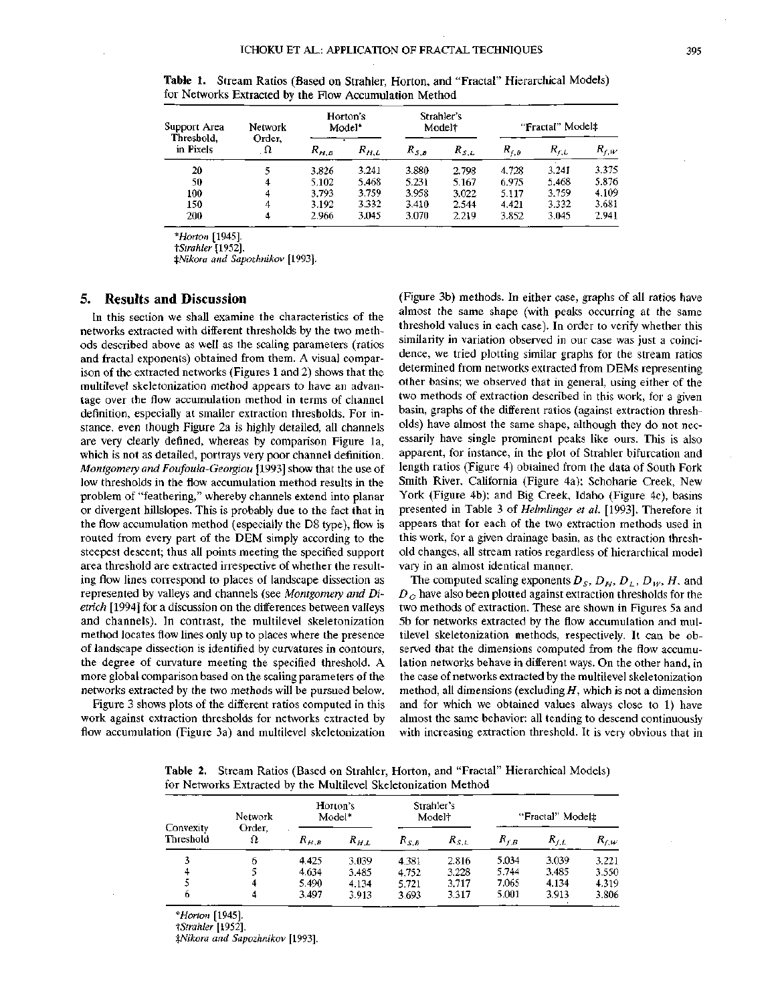| Support Area<br>Threshold,<br>in Pixels | <b>Network</b><br>Order. | Horton's<br>Model <sup>*</sup> |           | Strahler's<br>Model <sup>†</sup> |           | "Fractal" Model‡ |           |           |
|-----------------------------------------|--------------------------|--------------------------------|-----------|----------------------------------|-----------|------------------|-----------|-----------|
|                                         | Ω                        | $R_{H,B}$                      | $R_{H,L}$ | $R_{S,B}$                        | $R_{S,L}$ | $R_{f,B}$        | $R_{f,L}$ | $R_{f,W}$ |
| 20                                      | 5                        | 3.826                          | 3.241     | 3.880                            | 2.798     | 4.728            | 3.241     | 3.375     |
| 50                                      | 4                        | 5.102                          | 5.468     | 5.231                            | 5.167     | 6.975            | 5.468     | 5.876     |
| 100                                     | 4                        | 3.793                          | 3.759     | 3.958                            | 3.022     | 5.117            | 3.759     | 4.109     |
| 150                                     | 4                        | 3.192                          | 3.332     | 3.410                            | 2.544     | 4.421            | 3.332     | 3.681     |
| 200                                     | 4                        | 2.966                          | 3.045     | 3.070                            | 2.219     | 3.852            | 3.045     | 2,941     |

**Table 1.** Stream Ratios (Based on Strahler, Horton, and "Fractal" Hierarchical Models) for Networks Extracted by the Flow Accumulation Method

*\*Horton* [1945].

*^Strahler* [1952].

*\$Nikora and Sapozhnikov* [1993].

## **5. Results and Discussion**

In this section we shall examine the characteristics of the networks extracted with different thresholds by the two methods described above as well as the scaling parameters (ratios and fractal exponents) obtained from them. A visual comparison of the extracted networks (Figures 1 and 2) shows that the multilevel skeletonization method appears to have an advantage over the flow accumulation method in terms of channel definition, especially at smaller extraction thresholds. For instance, even though Figure 2a is highly detailed, all channels are very clearly defined, whereas by comparison Figure la, which is not as detailed, portrays very poor channel definition. *Montgomery and Foufoula-Georgiou* [1993] show that the use of low thresholds in the flow accumulation method results in the problem of "feathering," whereby channels extend into planar or divergent hillslopes. This is probably due to the fact that in the flow accumulation method (especially the D8 type), flow is routed from every part of the DEM simply according to the steepest descent; thus all points meeting the specified support area threshold are extracted irrespective of whether the resulting flow lines correspond to places of landscape dissection as represented by valleys and channels (see *Montgomery and Dietrich* [1994] for a discussion on the differences between valleys and channels). In contrast, the multilevel skeletonization method locates flow lines only up to places where the presence of landscape dissection is identified by curvatures in contours, the degree of curvature meeting the specified threshold. A more global comparison based on the scaling parameters of the networks extracted by the two methods will be pursued below.

Figure 3 shows plots of the different ratios computed in this work against extraction thresholds for networks extracted by flow accumulation (Figure 3a) and multilevel skeletonization (Figure 3b) methods. In either case, graphs of all ratios have almost the same shape (with peaks occurring at the same threshold values in each case). In order to verify whether this similarity in variation observed in our case was just a coincidence, we tried plotting similar graphs for the stream ratios determined from networks extracted from DEMs representing other basins; we observed that in general, using either of the two methods of extraction described in this work, for a given basin, graphs of the different ratios (against extraction thresholds) have almost the same shape, although they do not necessarily have single prominent peaks like ours. This is also apparent, for instance, in the plot of Strahler bifurcation and length ratios (Figure 4) obtained from the data of South Fork Smith River, California (Figure 4a); Schoharie Creek, New York (Figure 4b); and Big Creek, Idaho (Figure 4c), basins presented in Table 3 of *Helmlinger et al.* [1993]. Therefore it appears that for each of the two extraction methods used in this work, for a given drainage basin, as the extraction threshold changes, all stream ratios regardless of hierarchical model vary in an almost identical manner.

The computed scaling exponents  $D_S$ ,  $D_H$ ,  $D_L$ ,  $D_W$ ,  $H$ , and *DG* have also been plotted against extraction thresholds for the two methods of extraction. These are shown in Figures 5a and 5b for networks extracted by the flow accumulation and multilevel skeletonization methods, respectively. It can be observed that the dimensions computed from the flow accumulation networks behave in different ways. On the other hand, in the case of networks extracted by the multilevel skeletonization method, all dimensions (excluding *H*, which is not a dimension and for which we obtained values always close to 1) have almost the same behavior: all tending to descend continuously with increasing extraction threshold. It is very obvious that in

**Table** 2. Stream Ratios (Based on Strahler, Horton, and "Fractal" Hierarchical Models) for Networks Extracted by the Multilevel Skeletonization Method

| Convexity<br>Threshold | Network<br>Order.<br>Ω | Horton's<br>Model* |           | Strahler's<br>Model† |           | "Fractal" Model# |           |           |
|------------------------|------------------------|--------------------|-----------|----------------------|-----------|------------------|-----------|-----------|
|                        |                        | $R_{H,B}$          | $R_{H,L}$ | $R_{S,B}$            | $R_{S,L}$ | $R_{f,B}$        | $R_{f,L}$ | $R_{f,W}$ |
| 3                      | b                      | 4.425              | 3.039     | 4.381                | 2.816     | 5.034            | 3.039     | 3.221     |
| Δ                      |                        | 4.634              | 3.485     | 4.752                | 3.228     | 5.744            | 3.485     | 3.550     |
|                        | 4                      | 5.490              | 4.134     | 5.721                | 3.717     | 7.065            | 4.134     | 4.319     |
| 6                      | 4                      | 3.497              | 3.913     | 3.693                | 3.317     | 5.001            | 3.913     | 3.806     |

*\*Horton* [1945].

*^Strahler* [1952].

*\$Nikora and Sapozhnikov* [1993].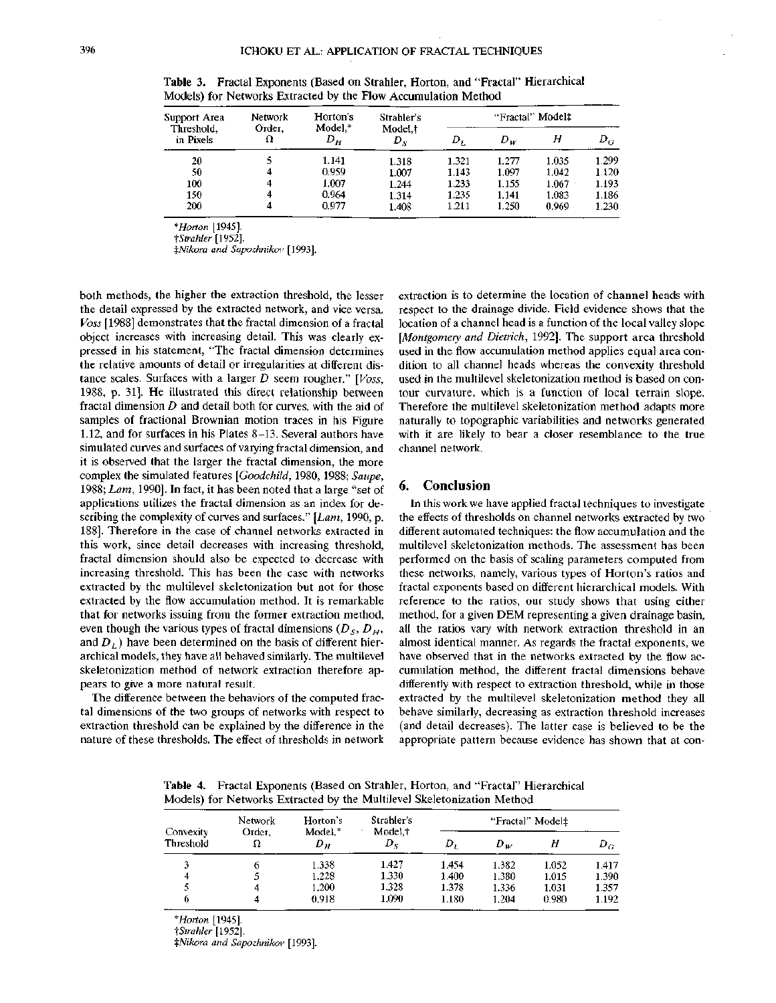| Support Area<br>Threshold.<br>in Pixels | <b>Network</b><br>Order.<br>Ω | Horton's<br>$Model.*$<br>D <sub>H</sub> | Strabler's<br>Model.t<br>$D_{\scriptscriptstyle{X}}$ | "Fractal" Model‡ |       |       |       |  |
|-----------------------------------------|-------------------------------|-----------------------------------------|------------------------------------------------------|------------------|-------|-------|-------|--|
|                                         |                               |                                         |                                                      | D <sub>L</sub>   | $D_W$ | Н     | $D_G$ |  |
| 20                                      |                               | 1.141                                   | 1.318                                                | 1.321            | 1.277 | 1.035 | 1.299 |  |
| 50                                      | 4                             | 0.959                                   | 1.007                                                | 1.143            | 1.097 | 1.042 | 1.120 |  |
| 100                                     | 4                             | 1.007                                   | 1.244                                                | 1.233            | 1.155 | 1.067 | 1.193 |  |
| 150                                     | 4                             | 0.964                                   | 1.314                                                | 1.235            | 1.141 | 1.083 | 1.186 |  |
| 200                                     | 4                             | 0.977                                   | 1.408                                                | 1.211            | 1.250 | 0.969 | 1.230 |  |

**Table 3.** Fractal Exponents (Based on Strahler, Horton, and "Fractal" Hierarchical Models) for Networks Extracted by the Flow Accumulation Method

*\*Horton* [1945].

*•\Strahler* [1952]. *\$Nikora and Sapozhnikov* [1993].

both methods, the higher the extraction threshold, the lesser the detail expressed by the extracted network, and vice versa. *Voss* [1988] demonstrates that the fractal dimension of a fractal object increases with increasing detail. This was clearly expressed in his statement, "The fractal dimension determines the relative amounts of detail or irregularities at different distance scales. Surfaces with a larger *D* seem rougher." *[Voss,* 1988, p. 31]. He illustrated this direct relationship between fractal dimension *D* and detail both for curves, with the aid of samples of fractional Brownian motion traces in his Figure 1.12, and for surfaces in his Plates 8-13. Several authors have simulated curves and surfaces of varying fractal dimension, and it is observed that the larger the fractal dimension, the more complex the simulated features *[Goodchild,* 1980, 1988; *Saupe,* 1988; *Lam,* 1990]. In fact, it has been noted that a large "set of applications utilizes the fractal dimension as an index for describing the complexity of curves and surfaces." *[Lam,* 1990, p. 188]. Therefore in the case of channel networks extracted in this work, since detail decreases with increasing threshold, fractal dimension should also be expected to decrease with increasing threshold. This has been the case with networks extracted by the multilevel skeletonization but not for those extracted by the flow accumulation method. It is remarkable that for networks issuing from the former extraction method, even though the various types of fractal dimensions  $(D<sub>S</sub>, D<sub>H</sub>,$ and  $D_L$ ) have been determined on the basis of different hierarchical models, they have all behaved similarly. The multilevel skeletonization method of network extraction therefore appears to give a more natural result.

The difference between the behaviors of the computed fractal dimensions of the two groups of networks with respect to extraction threshold can be explained by the difference in the nature of these thresholds. The effect of thresholds in network extraction is to determine the location of channel heads with respect to the drainage divide. Field evidence shows that the location of a channel head is a function of the local valley slope *[Montgomery and Dietrich,* 1992]. The support area threshold used in the flow accumulation method applies equal area condition to all channel heads whereas the convexity threshold used in the multilevel skeletonization method is based on contour curvature, which is a function of local terrain slope. Therefore the multilevel skeletonization method adapts more naturally to topographic variabilities and networks generated with it are likely to bear a closer resemblance to the true channel network.

#### **6. Conclusion**

In this work we have applied fractal techniques to investigate the effects of thresholds on channel networks extracted by two different automated techniques: the flow accumulation and the multilevel skeletonization methods. The assessment has been performed on the basis of scaling parameters computed from these networks, namely, various types of Horton's ratios and fractal exponents based on different hierarchical models. With reference to the ratios, our study shows that using either method, for a given DEM representing a given drainage basin, all the ratios vary with network extraction threshold in an almost identical manner. As regards the fractal exponents, we have observed that in the networks extracted by the flow accumulation method, the different fractal dimensions behave differently with respect to extraction threshold, while in those extracted by the multilevel skeletonization method they all behave similarly, decreasing as extraction threshold increases (and detail decreases). The latter case is believed to be the appropriate pattern because evidence has shown that at con-

**Table 4.** Fractal Exponents (Based on Strahler, Horton, and "Fractal" Hierarchical Models) for Networks Extracted by the Multilevel Skeletonization Method

| Convexity<br>Threshold | <b>Network</b><br>Order.<br>Ω | Horton's<br>Model. <sup>*</sup><br>Dн | Strahler's<br>Model,†<br>$D_{\rm c}$ | "Fractal" Model‡ |       |       |       |  |
|------------------------|-------------------------------|---------------------------------------|--------------------------------------|------------------|-------|-------|-------|--|
|                        |                               |                                       |                                      |                  | $D_w$ |       | $D_G$ |  |
|                        |                               | 1.338                                 | 1.427                                | 1.454            | 1.382 | 1.052 | 1.417 |  |
|                        |                               | 1.228                                 | 1.330                                | 1.400            | 1.380 | 1.015 | 1.390 |  |
|                        |                               | 1.200                                 | 1.328                                | 1.378            | 1.336 | 1.031 | 1.357 |  |
| 0                      |                               | 0.918                                 | 1.090                                | 1.180            | 1.204 | 0.980 | 1.192 |  |

*\* Horton* [1945].

*•^Strahler* [1952].

*\$Nikora and Sapozhnikov* [1993].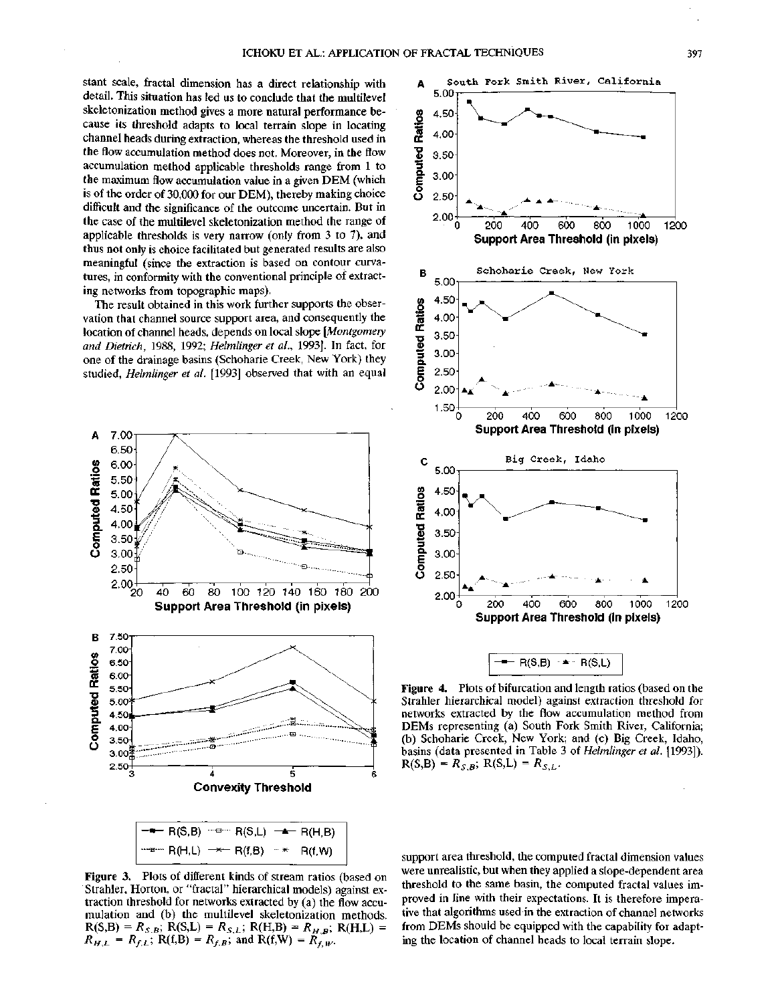stant scale, fractal dimension has a direct relationship with detail. This situation has led us to conclude that the multilevel skeletonization method gives a more natural performance because its threshold adapts to local terrain slope in locating channel heads during extraction, whereas the threshold used in the flow accumulation method does not. Moreover, in the flow accumulation method applicable thresholds range from 1 to the maximum flow accumulation value in a given DEM (which is of the order of 30,000 for our DEM), thereby making choice difficult and the significance of the outcome uncertain. But in the case of the multilevel skeletonization method the range of applicable thresholds is very narrow (only from 3 to 7), and thus not only is choice facilitated but generated results are also meaningful (since the extraction is based on contour curvatures, in conformity with the conventional principle of extracting networks from topographic maps).

The result obtained in this work further supports the observation that channel source support area, and consequently the location of channel heads, depends on local slope *[Montgomery and Dietrich,* 1988, 1992; *Helmlinger et al.,* 1993]. In fact, for one of the drainage basins (Schoharie Creek, New York) they studied, *Helmlinger et al.* [1993] observed that with an equal





**Figure 4.** Plots of bifurcation and length ratios (based on the Strahler hierarchical model) against extraction threshold for networks extracted by the flow accumulation method from DEMs representing (a) South Fork Smith River, California; (b) Schoharie Creek, New York; and (c) Big Creek, Idaho, basins (data presented in Table 3 of *Helmlinger et al.* [1993]).  $R(S,B) = R_{S,B}$ ;  $R(S,L) = R_{S,L}$ .

**Figure 3.** Plots of different kinds of stream ratios (based on Strahler, Horton, or "fractal" hierarchical models) against extraction threshold for networks extracted by (a) the flow accumulation and (b) the multilevel skeletonization methods.  $R(S,B) = R_{S,B}$ ;  $\hat{R}(S,L) = R_{S,L}$ ;  $R(H,B) = R_{H,B}$ ;  $R(H,L) =$  $R_{f,B}$ <sup>2</sup>, and R(f,W) =  $R_{f,W}$ <sup>2</sup>

support area threshold, the computed fractal dimension values were unrealistic, but when they applied a slope-dependent area threshold to the same basin, the computed fractal values improved in line with their expectations. It is therefore imperative that algorithms used in the extraction of channel networks from DEMs should be equipped with the capability for adapting the location of channel heads to local terrain slope.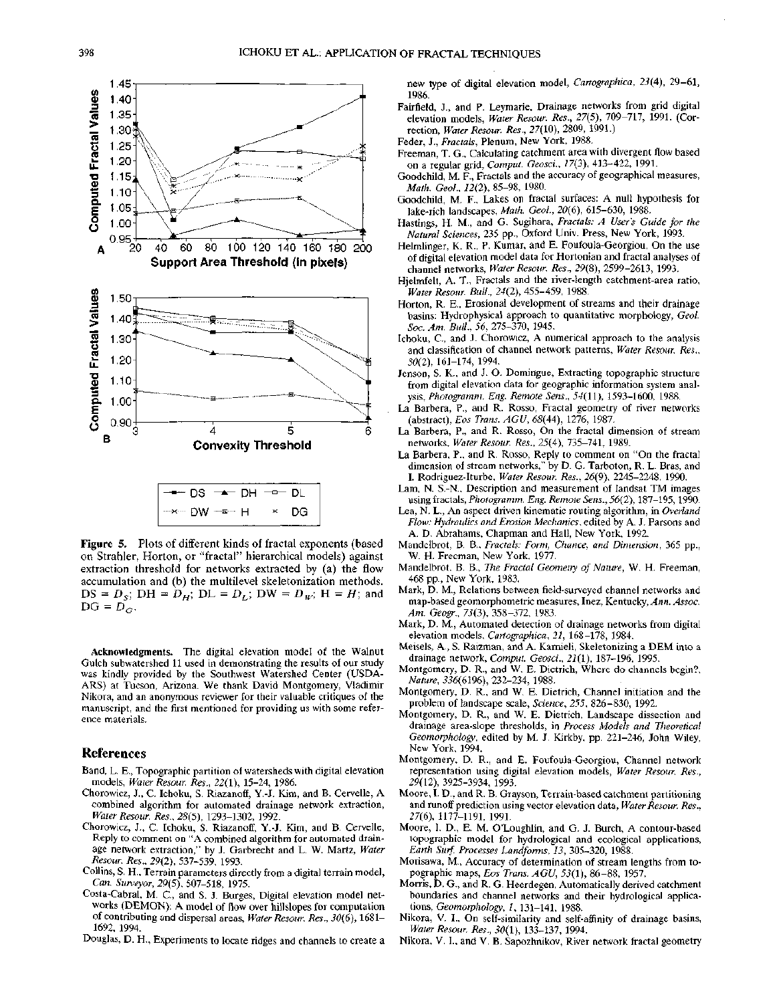

**Figure** 5. Plots of different kinds of fractal exponents (based on Strahler, Horton, or "fractal" hierarchical models) against extraction threshold for networks extracted by (a) the flow accumulation and (b) the multilevel skeletonization methods.  $DS = D_s$ ;  $DH = D_H$ ;  $DL = D_L$ ;  $DW = D_W$ ;  $H = H$ ; and  $DG = D_G^G$ .

**Acknowledgments.** The digital elevation model of the Walnut Gulch subwatershed 11 used in demonstrating the results of our study was kindly provided by the Southwest Watershed Center (USDA-ARS) at Tucson, Arizona. We thank David Montgomery, Vladimir Nikora, and an anonymous reviewer for their valuable critiques of the manuscript, and the first mentioned for providing us with some reference materials.

# **References**

- Band, L. E., Topographic partition of watersheds with digital elevation models, *Water Resour. Res.,* 22(1), 15-24, 1986.
- Chorowicz, J., C. Ichoku, S. Riazanoff, Y.-J. Kim, and B. Cervelle, A. combined algorithm for automated drainage network extraction, *Water Resour. Res., 28(5),* 1293-1302, 1992.
- Chorowicz, J., C. Ichoku, S. Riazanoff, Y.-J. Kim, and B. Cervelle, Reply to comment on "A combined algorithm for automated drainage network extraction," by J. Garbrecht and L. W. Martz, *Water Resour. Res., 29(2),* 537-539, 1993.
- Collins, S. H., Terrain parameters directly from a digital terrain model, *Can. Surveyor, 29(5),* 507-518, 1975.
- Costa-Cabral, M. C., and S. J. Burges, Digital elevation model networks (DEMON): A model of flow over hillslopes for computation of contributing and dispersal areas, *Water Resour. Res., 30(6),* 1681- 1692, 1994.
- Douglas, D. H., Experiments to locate ridges and channels to create a

new type of digital elevation model, *Cartographica, 23(4),* 29-61, 1986.

- Fairfield, J., and P. Leymarie, Drainage networks from grid digital elevation models, *Water Resour. Res., 27(5),* 709-717, 1991. (Correction, *Water Resour. Res.,* 27(10), 2809, 1991.)
- Feder, J., *Fractals,* Plenum, New York, 1988.
- Freeman, T. G., Calculating catchment area with divergent flow based on a regular grid, *Comput. Geosci., 17(3),* 413-422, 1991.
- Goodchild, M. F., Fractals and the accuracy of geographical measures, *Math. Geol., 12(2),* 85-98, 1980.
- Goodchild, M. F., Lakes on fractal surfaces: A null hypothesis for lake-rich landscapes, *Math. Geol., 20(6),* 615-630, 1988.
- Hastings, H. M., and G. Sugihara, *Fractals: A User's Guide for the Natural Sciences,* 235 pp., Oxford Univ. Press, New York, 1993.
- Helmlinger, K. R., P. Kumar, and E. Foufoula-Georgiou, On the use of digital elevation model data for Hortonian and fractal analyses of channel networks, *Water Resour. Res.,* 29(8), 2599-2613, 1993.
- Hjelmfelt, A. T., Fractals and the river-length catchment-area ratio, *Water Resour. Bull., 24(2),* 455-459, 1988.
- Horton, R. E., Erosional development of streams and their drainage basins: Hydrophysical approach to quantitative morphology, *Geol. Soc. Am. Bull., 56,* 275-370, 1945.
- Ichoku, C., and J. Chorowicz, A numerical approach to the analysis and classification of channel network patterns, *Water Resour. Res., 30(2),* 161-174, 1994.
- Jenson, S. K., and J. O. Domingue, Extracting topographic structure from digital elevation data for geographic information system analysis, *Photogramm. Eng. Remote Sens., 54(11),* 1593-1600, 1988.
- La Barbera, P., and R. Rosso, Fractal geometry of river networks (abstract), *Eos Trans. AGU, 68(44),* 1276, 1987.
- La Barbera, P., and R. Rosso, On the fractal dimension of stream networks, *Water Resour. Res., 25(4),* 735-741, 1989.
- La Barbera, P., and R. Rosso, Reply to comment on "On the fractal dimension of stream networks," by D. G. Tarboton, R. L. Bras, and I. Rodriguez-Iturbe, *Water Resour. Res., 26(9),* 2245-2248, 1990.
- Lam, N. S.-N., Description and measurement of landsat TM images using fractals, *Photogramm. Eng. Remote Sens., 56(2),* 187-195,1990.
- Lea, N. L., An aspect driven kinematic routing algorithm, in *Overland Flow: Hydraulics and Erosion Mechanics,* edited by A. J. Parsons and A. D. Abrahams, Chapman and Hall, New York, 1992.
- Mandelbrot, B. B., *Fractals: Form, Chance, and Dimension,* 365 pp., W. H. Freeman, New York, 1977.
- Mandelbrot, B. B., *The Fractal Geometry of Nature,* W. H. Freeman, 468 pp., New York, 1983.
- Mark, D. M., Relations between field-surveyed channel networks and map-based geomorphometric measures, Inez, Kentucky, *Ann. Assoc. Am. Geogr., 73(3),* 358-372, 1983.
- Mark, D. M., Automated detection of drainage networks from digital elevation models, *Cartographica, 21,* 168-178, 1984.
- Meisels, A., S. Raizman, and A. Karnieli, Skeletonizing a DEM into a drainage network, *Comput. Geosci., 21(1),* 187-196, 1995.
- Montgomery, D. R., and W. E. Dietrich, Where do channels begin?, *Nature, 336(6196),* 232-234, 1988.
- Montgomery, D. R., and W. E. Dietrich, Channel initiation and the problem of landscape scale, *Science, 255,* 826-830, 1992.
- Montgomery, D. R., and W. E. Dietrich, Landscape dissection and drainage area-slope thresholds, in *Process Models and Theoretical Geomorphology,* edited by M. J. Kirkby, pp. 221-246, John Wiley, New York, 1994.
- Montgomery, D. R., and E. Foufoula-Georgiou, Channel network representation using digital elevation models, *Water Resour. Res.,* 29(12), 3925-3934, 1993.
- Moore, I. D., and R. B. Grayson, Terrain-based catchment partitioning and runoff prediction using vector elevation data, *Water Resour. Res., 27(6),* 1177-1191, 1991.
- Moore, I. D., E. M. O'Loughlin, and G. J. Burch, A contour-based topographic model for hydrological and ecological applications, *Earth Surf. Processes Landforms, 13,* 305-320, 1988.
- Morisawa, M., Accuracy of determination of stream lengths from topographic maps, *Eos Trans. AGU, 53(1),* 86-88, 1957.
- Morris, D. G., and R. G. Heerdegen, Automatically derived catchment boundaries and channel networks and their hydrological applications, *Geomorphology, 1,* 131-141, 1988.
- Nikora, V. I., On self-similarity and self-affinity of drainage basins, *Water Resour. Res., 30(1),* 133-137, 1994.
- Nikora, V. I., and V. B. Sapozhnikov, River network fractal geometry